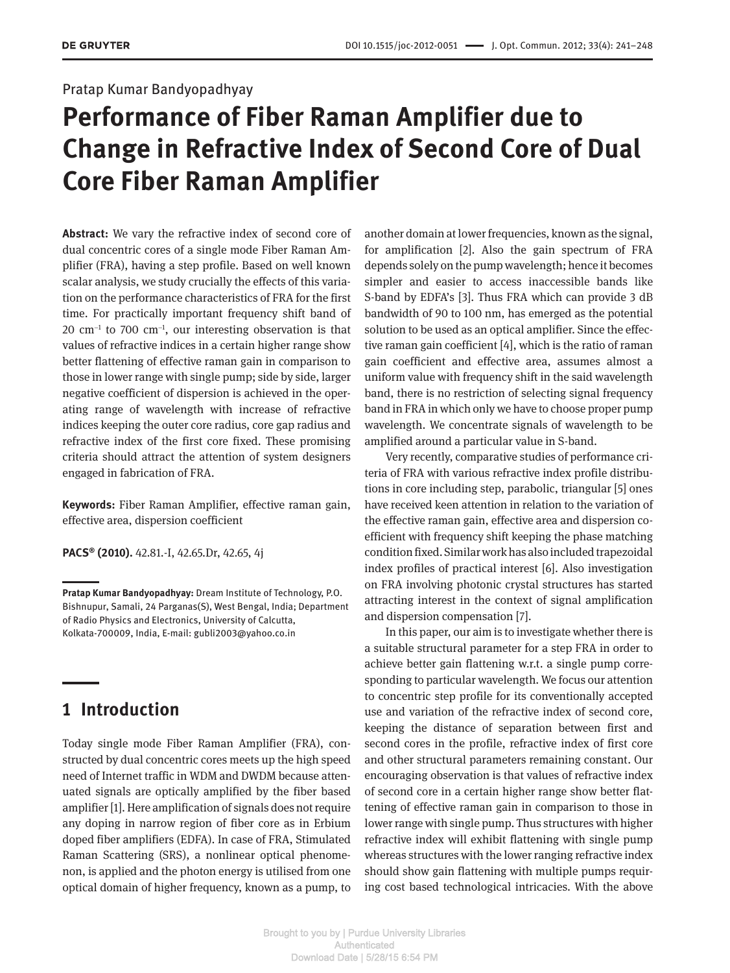## Pratap Kumar Bandyopadhyay

# **Performance of Fiber Raman Amplifier due to Change in Refractive Index of Second Core of Dual Core Fiber Raman Amplifier**

**Abstract:** We vary the refractive index of second core of dual concentric cores of a single mode Fiber Raman Amplifier (FRA), having a step profile. Based on well known scalar analysis, we study crucially the effects of this variation on the performance characteristics of FRA for the first time. For practically important frequency shift band of  $20 \text{ cm}^{-1}$  to 700 cm<sup>-1</sup>, our interesting observation is that values of refractive indices in a certain higher range show better flattening of effective raman gain in comparison to those in lower range with single pump; side by side, larger negative coefficient of dispersion is achieved in the operating range of wavelength with increase of refractive indices keeping the outer core radius, core gap radius and refractive index of the first core fixed. These promising criteria should attract the attention of system designers engaged in fabrication of FRA.

**Keywords:** Fiber Raman Amplifier, effective raman gain, effective area, dispersion coefficient

**PACS® (2010).** 42.81.-I, 42.65.Dr, 42.65, 4j

# **1 Introduction**

Today single mode Fiber Raman Amplifier (FRA), constructed by dual concentric cores meets up the high speed need of Internet traffic in WDM and DWDM because attenuated signals are optically amplified by the fiber based amplifier [1]. Here amplification of signals does not require any doping in narrow region of fiber core as in Erbium doped fiber amplifiers (EDFA). In case of FRA, Stimulated Raman Scattering (SRS), a nonlinear optical phenomenon, is applied and the photon energy is utilised from one optical domain of higher frequency, known as a pump, to another domain at lower frequencies, known as the signal, for amplification [2]. Also the gain spectrum of FRA depends solely on the pump wavelength; hence it becomes simpler and easier to access inaccessible bands like S-band by EDFA's [3]. Thus FRA which can provide 3 dB bandwidth of 90 to 100 nm, has emerged as the potential solution to be used as an optical amplifier. Since the effective raman gain coefficient [4], which is the ratio of raman gain coefficient and effective area, assumes almost a uniform value with frequency shift in the said wavelength band, there is no restriction of selecting signal frequency band in FRA in which only we have to choose proper pump wavelength. We concentrate signals of wavelength to be amplified around a particular value in S-band.

Very recently, comparative studies of performance criteria of FRA with various refractive index profile distributions in core including step, parabolic, triangular [5] ones have received keen attention in relation to the variation of the effective raman gain, effective area and dispersion coefficient with frequency shift keeping the phase matching condition fixed. Similar work has also included trapezoidal index profiles of practical interest [6]. Also investigation on FRA involving photonic crystal structures has started attracting interest in the context of signal amplification and dispersion compensation [7].

In this paper, our aim is to investigate whether there is a suitable structural parameter for a step FRA in order to achieve better gain flattening w.r.t. a single pump corresponding to particular wavelength. We focus our attention to concentric step profile for its conventionally accepted use and variation of the refractive index of second core, keeping the distance of separation between first and second cores in the profile, refractive index of first core and other structural parameters remaining constant. Our encouraging observation is that values of refractive index of second core in a certain higher range show better flattening of effective raman gain in comparison to those in lower range with single pump. Thus structures with higher refractive index will exhibit flattening with single pump whereas structures with the lower ranging refractive index should show gain flattening with multiple pumps requiring cost based technological intricacies. With the above

**Pratap Kumar Bandyopadhyay:** Dream Institute of Technology, P.O. Bishnupur, Samali, 24 Parganas(S), West Bengal, India; Department of Radio Physics and Electronics, University of Calcutta, Kolkata-700009, India, E-mail: gubli2003@yahoo.co.in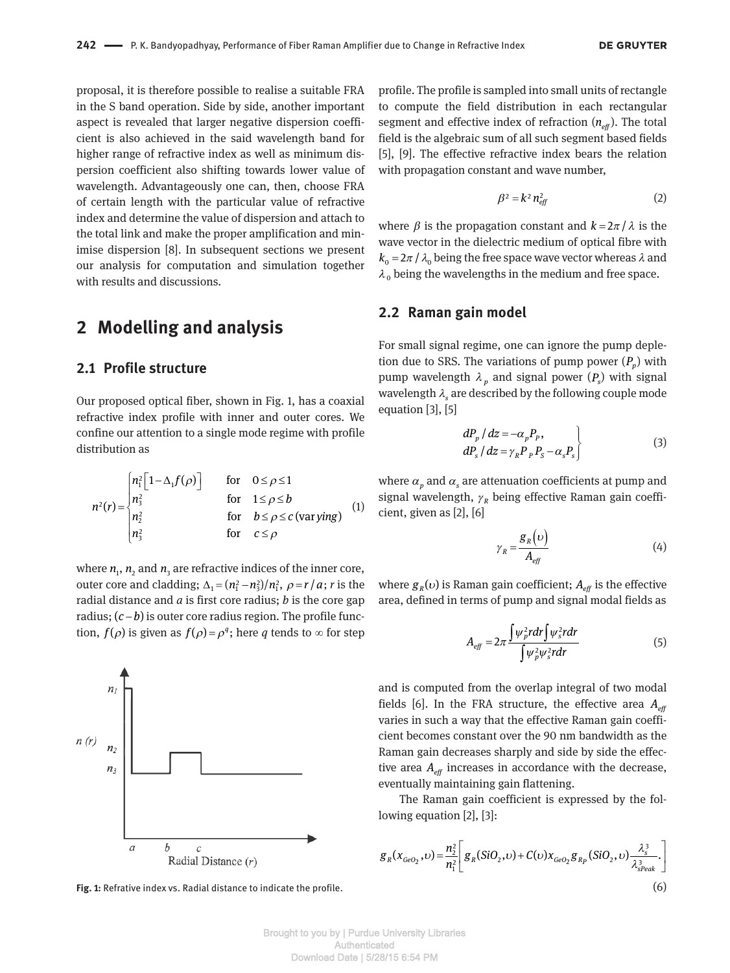proposal, it is therefore possible to realise a suitable FRA in the S band operation. Side by side, another important aspect is revealed that larger negative dispersion coefficient is also achieved in the said wavelength band for higher range of refractive index as well as minimum dispersion coefficient also shifting towards lower value of wavelength. Advantageously one can, then, choose FRA of certain length with the particular value of refractive index and determine the value of dispersion and attach to the total link and make the proper amplification and minimise dispersion [8]. In subsequent sections we present our analysis for computation and simulation together with results and discussions.

# **2 Modelling and analysis**

## **2.1 Profile structure**

Our proposed optical fiber, shown in Fig. 1, has a coaxial refractive index profile with inner and outer cores. We confine our attention to a single mode regime with profile distribution as

$$
n^{2}(r) = \begin{cases} n_{1}^{2} \left[ 1 - \Delta_{1} f(\rho) \right] & \text{for } 0 \leq \rho \leq 1 \\ n_{3}^{2} & \text{for } 1 \leq \rho \leq b \\ n_{2}^{2} & \text{for } b \leq \rho \leq c \text{ (var } y \text{ ing)} \\ n_{3}^{2} & \text{for } c \leq \rho \end{cases}
$$
 (1)

where  $n_1$ ,  $n_2$  and  $n_3$  are refractive indices of the inner core, outer core and cladding;  $\Delta_1 = \frac{n_1^2 - n_3^2}{n_1^2}$ ,  $\rho = r/a$ ; *r* is the radial distance and *a* is first core radius; *b* is the core gap radius;  $(c - b)$  is outer core radius region. The profile function,  $f(\rho)$  is given as  $f(\rho) = \rho^q$ ; here *q* tends to  $\infty$  for step



**Fig. 1:** Refrative index vs. Radial distance to indicate the profile. (6)

profile. The profile is sampled into small units of rectangle to compute the field distribution in each rectangular segment and effective index of refraction  $(n_{\text{eff}})$ . The total field is the algebraic sum of all such segment based fields [5], [9]. The effective refractive index bears the relation with propagation constant and wave number,

$$
\beta^2 = k^2 n_{\text{eff}}^2 \tag{2}
$$

where  $\beta$  is the propagation constant and  $k = 2\pi / \lambda$  is the wave vector in the dielectric medium of optical fibre with  $k_0 = 2\pi / \lambda_0$  being the free space wave vector whereas  $\lambda$  and  $\lambda_{_{\rm 0}}$  being the wavelengths in the medium and free space.

## **2.2 Raman gain model**

For small signal regime, one can ignore the pump depletion due to SRS. The variations of pump power  $(P_p)$  with pump wavelength  $\lambda_p$  and signal power  $(P_s)$  with signal wavelength *λ<sup>s</sup>* are described by the following couple mode equation [3], [5]

$$
dP_p/dz = -\alpha_p P_p, \ndP_s/dz = \gamma_R P_p P_s - \alpha_s P_s
$$
\n(3)

where  $\alpha_p$  and  $\alpha_s$  are attenuation coefficients at pump and signal wavelength,  $γ_$  being effective Raman gain coefficient, given as [2], [6]

$$
\gamma_R = \frac{g_R(\nu)}{A_{\text{eff}}} \tag{4}
$$

where  $g_R(v)$  is Raman gain coefficient;  $A_{\text{eff}}$  is the effective area, defined in terms of pump and signal modal fields as

$$
A_{\text{eff}} = 2\pi \frac{\int \psi_p^2 r dr \int \psi_s^2 r dr}{\int \psi_p^2 \psi_s^2 r dr}
$$
 (5)

and is computed from the overlap integral of two modal fields [6]. In the FRA structure, the effective area  $A_{\text{eff}}$ varies in such a way that the effective Raman gain coefficient becomes constant over the 90 nm bandwidth as the Raman gain decreases sharply and side by side the effective area  $A_{\text{eff}}$  increases in accordance with the decrease, eventually maintaining gain flattening.

The Raman gain coefficient is expressed by the following equation [2], [3]:

$$
g_R(x_{GeO_2}, v) = \frac{n_2^2}{n_1^2} \bigg[ g_R(SiO_2, v) + C(v)x_{GeO_2}g_{R_p}(SiO_2, v)\frac{\lambda_s^3}{\lambda_{\text{Speak}}^3} \bigg]
$$
 (6)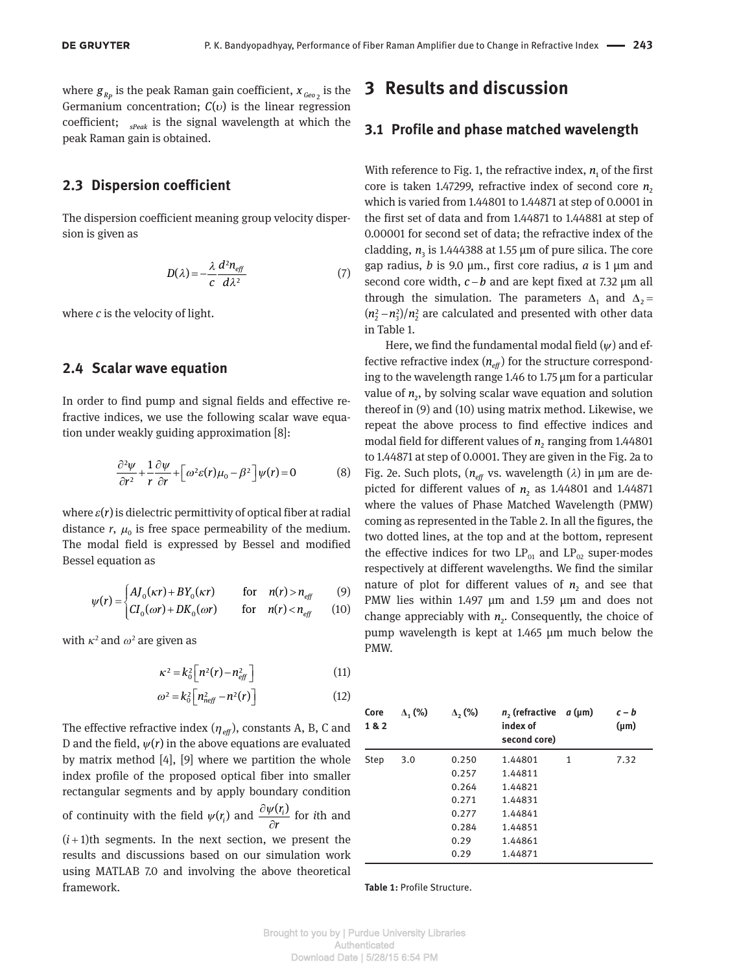where  $g_{_{R_p}}$  is the peak Raman gain coefficient,  $x_{_{\mathit{Geo}_2}}$  is the Germanium concentration; *C*(*v*) is the linear regression coefficient; *sPeak* is the signal wavelength at which the peak Raman gain is obtained.

### **2.3 Dispersion coefficient**

The dispersion coefficient meaning group velocity dispersion is given as

$$
D(\lambda) = -\frac{\lambda}{c} \frac{d^2 n_{\text{eff}}}{d\lambda^2} \tag{7}
$$

where *c* is the velocity of light.

#### **2.4 Scalar wave equation**

In order to find pump and signal fields and effective refractive indices, we use the following scalar wave equation under weakly guiding approximation [8]:

$$
\frac{\partial^2 \psi}{\partial r^2} + \frac{1}{r} \frac{\partial \psi}{\partial r} + \left[ \omega^2 \varepsilon(r) \mu_0 - \beta^2 \right] \psi(r) = 0 \tag{8}
$$

where  $\varepsilon(r)$  is dielectric permittivity of optical fiber at radial distance  $r$ ,  $\mu_0$  is free space permeability of the medium. The modal field is expressed by Bessel and modified Bessel equation as

$$
\psi(r) = \begin{cases} A J_0(\kappa r) + B Y_0(\kappa r) & \text{for} \quad n(r) > n_{\text{eff}} \\ C I_0(\omega r) + D K_0(\omega r) & \text{for} \quad n(r) < n_{\text{eff}} \end{cases}
$$
(9)

with  $\kappa^2$  and  $\omega^2$  are given as

$$
\kappa^2 = k_0^2 \left[ n^2(r) - n_{\text{eff}}^2 \right] \tag{11}
$$

$$
\omega^2 = k_0^2 \left[ n_{\text{neff}}^2 - n^2(r) \right] \tag{12}
$$

The effective refractive index (*ηeff*), constants A, B, C and D and the field,  $\psi(r)$  in the above equations are evaluated by matrix method [4], [9] where we partition the whole index profile of the proposed optical fiber into smaller rectangular segments and by apply boundary condition of continuity with the field  $\psi(r_i)$  and  $\frac{\partial \psi(r_i)}{\partial x}$ *r* ∂*ψ*  $\frac{\partial P}{\partial r}$  for *i*th and  $(i+1)$ th segments. In the next section, we present the results and discussions based on our simulation work using MATLAB 7.0 and involving the above theoretical framework.

## **3 Results and discussion**

#### **3.1 Profile and phase matched wavelength**

With reference to Fig. 1, the refractive index,  $n_{\text{i}}$  of the first core is taken 1.47299, refractive index of second core  $n<sub>2</sub>$ which is varied from 1.44801 to 1.44871 at step of 0.0001 in the first set of data and from 1.44871 to 1.44881 at step of 0.00001 for second set of data; the refractive index of the cladding,  $n_{\text{3}}$  is 1.444388 at 1.55  $\mu$ m of pure silica. The core gap radius, *b* is 9.0 μm., first core radius, *a* is 1 μm and second core width,  $c - b$  and are kept fixed at 7.32  $\mu$ m all through the simulation. The parameters  $\Delta_1$  and  $\Delta_2$  =  $(n_2^2-n_3^2)/n_2^2$  are calculated and presented with other data in Table 1.

Here, we find the fundamental modal field (*ψ*) and effective refractive index  $(n_{\text{eff}})$  for the structure corresponding to the wavelength range 1.46 to 1.75 μm for a particular value of  $n_{2}$ , by solving scalar wave equation and solution thereof in (9) and (10) using matrix method. Likewise, we repeat the above process to find effective indices and modal field for different values of  $n_{\rm z}$  ranging from 1.44801 to 1.44871 at step of 0.0001. They are given in the Fig. 2a to Fig. 2e. Such plots,  $(n_{\text{eff}}$  vs. wavelength  $(\lambda)$  in  $\mu$ m are depicted for different values of  $n_2$  as 1.44801 and 1.44871 where the values of Phase Matched Wavelength (PMW) coming as represented in the Table 2. In all the figures, the two dotted lines, at the top and at the bottom, represent the effective indices for two  $LP_{01}$  and  $LP_{02}$  super-modes respectively at different wavelengths. We find the similar nature of plot for different values of  $n_2$  and see that PMW lies within 1.497 μm and 1.59 μm and does not change appreciably with  $n<sub>2</sub>$ . Consequently, the choice of pump wavelength is kept at 1.465 μm much below the PMW.

| Core<br>1&2 | $\Delta$ <sub>1</sub> (%) | $\Delta$ <sub>2</sub> (%) | $n2$ (refractive<br>index of<br>second core) | $a \, (\mu m)$ | $c - b$<br>$(\mu m)$ |
|-------------|---------------------------|---------------------------|----------------------------------------------|----------------|----------------------|
| <b>Step</b> | 3.0                       | 0.250                     | 1.44801                                      | 1              | 7.32                 |
|             |                           | 0.257                     | 1.44811                                      |                |                      |
|             |                           | 0.264                     | 1.44821                                      |                |                      |
|             |                           | 0.271                     | 1.44831                                      |                |                      |
|             |                           | 0.277                     | 1.44841                                      |                |                      |
|             |                           | 0.284                     | 1.44851                                      |                |                      |
|             |                           | 0.29                      | 1.44861                                      |                |                      |
|             |                           | 0.29                      | 1.44871                                      |                |                      |

**Table 1:** Profile Structure.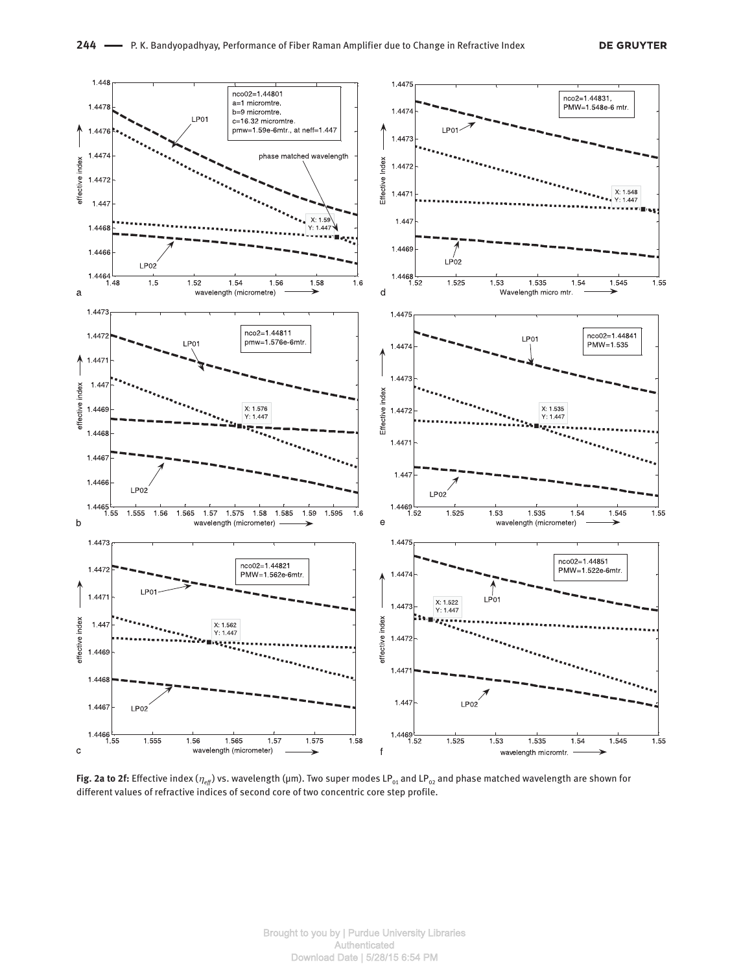

**Fig. 2a to 2f:** Effective index ( $η_{ef}$ ) vs. wavelength (μm). Two super modes LP<sub>01</sub> and LP<sub>02</sub> and phase matched wavelength are shown for different values of refractive indices of second core of two concentric core step profile.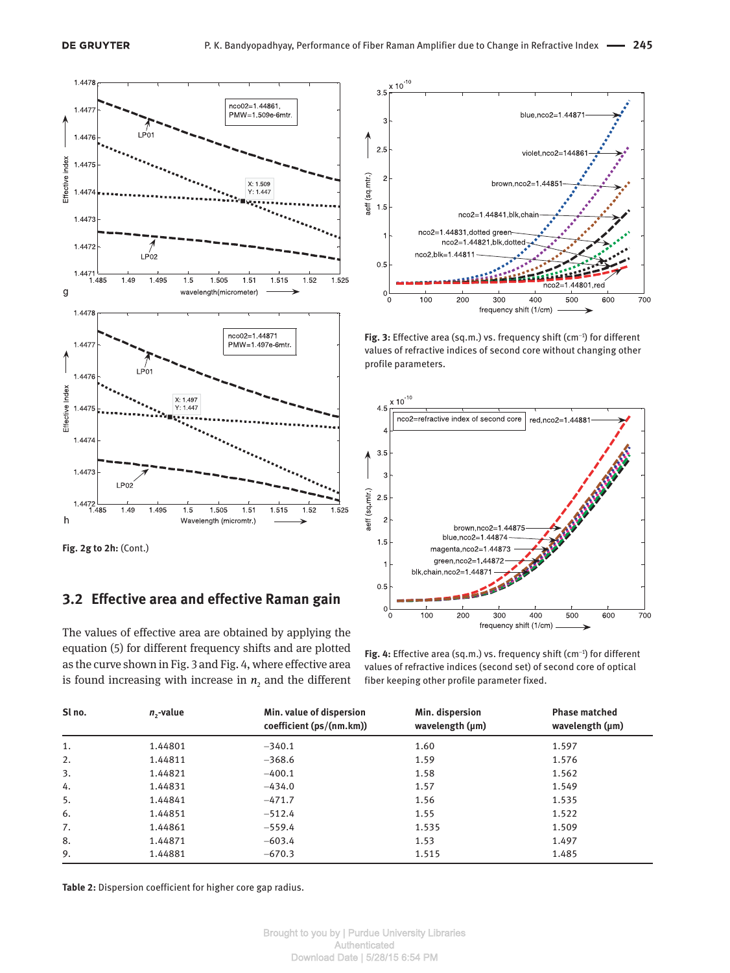

**Fig. 2g to 2h:** (Cont.)

## **3.2 Effective area and effective Raman gain**

The values of effective area are obtained by applying the equation (5) for different frequency shifts and are plotted as the curve shown in Fig. 3 and Fig. 4, where effective area is found increasing with increase in  $n_2$  and the different



**Fig. 3:** Effective area (sq.m.) vs. frequency shift (cm<sup>-1</sup>) for different values of refractive indices of second core without changing other profile parameters.



**Fig. 4:** Effective area (sq.m.) vs. frequency shift (cm<sup>-1</sup>) for different values of refractive indices (second set) of second core of optical fiber keeping other profile parameter fixed.

| Sl no. | $n_{2}$ -value | Min. value of dispersion<br>coefficient (ps/(nm.km)) | Min. dispersion<br>wavelength $(\mu m)$ | <b>Phase matched</b><br>wavelength (µm) |
|--------|----------------|------------------------------------------------------|-----------------------------------------|-----------------------------------------|
| 1.     | 1.44801        | $-340.1$                                             | 1.60                                    | 1.597                                   |
| 2.     | 1.44811        | $-368.6$                                             | 1.59                                    | 1.576                                   |
| 3.     | 1.44821        | $-400.1$                                             | 1.58                                    | 1.562                                   |
| 4.     | 1.44831        | $-434.0$                                             | 1.57                                    | 1.549                                   |
| 5.     | 1.44841        | $-471.7$                                             | 1.56                                    | 1.535                                   |
| 6.     | 1.44851        | $-512.4$                                             | 1.55                                    | 1.522                                   |
| 7.     | 1.44861        | $-559.4$                                             | 1.535                                   | 1.509                                   |
| 8.     | 1.44871        | $-603.4$                                             | 1.53                                    | 1.497                                   |
| 9.     | 1.44881        | $-670.3$                                             | 1.515                                   | 1.485                                   |

**Table 2:** Dispersion coefficient for higher core gap radius.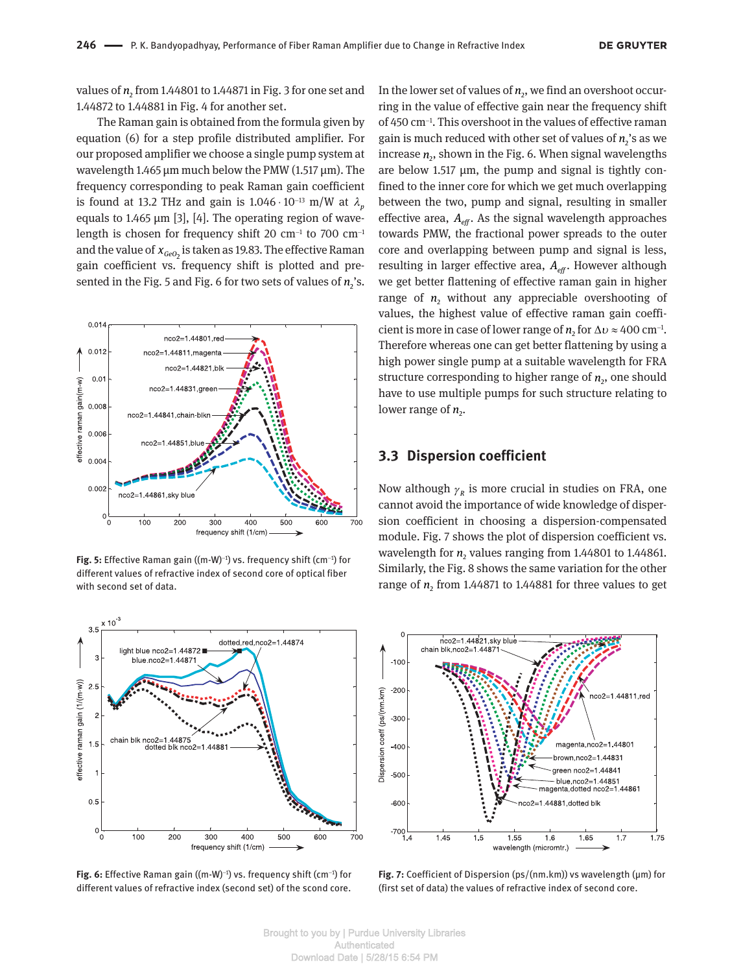values of  $n_{\text{2}}$  from 1.44801 to 1.44871 in Fig. 3 for one set and 1.44872 to 1.44881 in Fig. 4 for another set.

The Raman gain is obtained from the formula given by equation (6) for a step profile distributed amplifier. For our proposed amplifier we choose a single pump system at wavelength 1.465 μm much below the PMW (1.517 μm). The frequency corresponding to peak Raman gain coefficient is found at 13.2 THz and gain is  $1.046 \cdot 10^{-13}$  m/W at  $\lambda_n$ equals to 1.465 μm [3], [4]. The operating region of wavelength is chosen for frequency shift 20  $\rm cm^{-1}$  to 700  $\rm cm^{-1}$ and the value of  $x_{\tiny{GeO_2}}$  is taken as 19.83. The effective Raman gain coefficient vs. frequency shift is plotted and presented in the Fig. 5 and Fig. 6 for two sets of values of  $n_2$ 's.



**Fig. 5:** Effective Raman gain ((m-W)<sup>-1</sup>) vs. frequency shift (cm<sup>-1</sup>) for different values of refractive index of second core of optical fiber with second set of data.



**Fig. 6:** Effective Raman gain ((m-W)<sup>-1</sup>) vs. frequency shift (cm<sup>-1</sup>) for different values of refractive index (second set) of the scond core.

In the lower set of values of  $n_{2}$ , we find an overshoot occurring in the value of effective gain near the frequency shift of 450 cm-<sup>1</sup> . This overshoot in the values of effective raman gain is much reduced with other set of values of  $n_2$ 's as we increase  $n_{\rm z}$ , shown in the Fig. 6. When signal wavelengths are below 1.517 μm, the pump and signal is tightly confined to the inner core for which we get much overlapping between the two, pump and signal, resulting in smaller effective area,  $A_{\text{eff}}$ . As the signal wavelength approaches towards PMW, the fractional power spreads to the outer core and overlapping between pump and signal is less, resulting in larger effective area,  $A_{\text{eff}}$ . However although we get better flattening of effective raman gain in higher range of  $n_2$  without any appreciable overshooting of values, the highest value of effective raman gain coefficient is more in case of lower range of  $n_2$  for  $\Delta v \approx 400 \text{ cm}^{-1}$ . Therefore whereas one can get better flattening by using a high power single pump at a suitable wavelength for FRA structure corresponding to higher range of  $n_2$ , one should have to use multiple pumps for such structure relating to lower range of  $n_{2}$ .

### **3.3 Dispersion coefficient**

Now although  $\gamma_R$  is more crucial in studies on FRA, one cannot avoid the importance of wide knowledge of dispersion coefficient in choosing a dispersion-compensated module. Fig. 7 shows the plot of dispersion coefficient vs. wavelength for  $n_2$  values ranging from 1.44801 to 1.44861. Similarly, the Fig. 8 shows the same variation for the other range of  $n_2$  from 1.44871 to 1.44881 for three values to get



**Fig. 7:** Coefficient of Dispersion (ps/(nm.km)) vs wavelength (μm) for (first set of data) the values of refractive index of second core.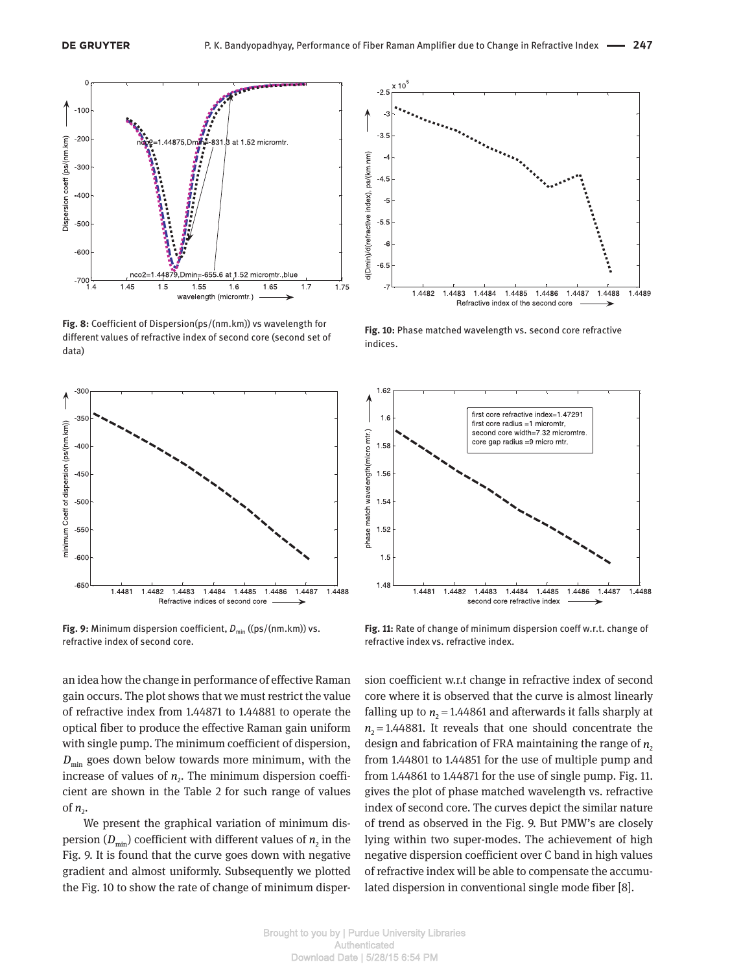

**Fig. 8:** Coefficient of Dispersion(ps/(nm.km)) vs wavelength for different values of refractive index of second core (second set of data)



**Fig. 9:** Minimum dispersion coefficient,  $D_{\min}$  ((ps/(nm.km)) vs. refractive index of second core.

an idea how the change in performance of effective Raman gain occurs. The plot shows that we must restrict the value of refractive index from 1.44871 to 1.44881 to operate the optical fiber to produce the effective Raman gain uniform with single pump. The minimum coefficient of dispersion,  $D_{\min}$  goes down below towards more minimum, with the increase of values of  $n<sub>2</sub>$ . The minimum dispersion coefficient are shown in the Table 2 for such range of values of  $n_{2}$ .

We present the graphical variation of minimum dispersion  $(D_{\min})$  coefficient with different values of  $n_2$  in the Fig. 9. It is found that the curve goes down with negative gradient and almost uniformly. Subsequently we plotted the Fig. 10 to show the rate of change of minimum disper-



**Fig. 10:** Phase matched wavelength vs. second core refractive indices.



**Fig. 11:** Rate of change of minimum dispersion coeff w.r.t. change of refractive index vs. refractive index.

sion coefficient w.r.t change in refractive index of second core where it is observed that the curve is almost linearly falling up to  $n_2 = 1.44861$  and afterwards it falls sharply at  $n<sub>2</sub> = 1.44881$ . It reveals that one should concentrate the design and fabrication of FRA maintaining the range of  $n<sub>2</sub>$ from 1.44801 to 1.44851 for the use of multiple pump and from 1.44861 to 1.44871 for the use of single pump. Fig. 11. gives the plot of phase matched wavelength vs. refractive index of second core. The curves depict the similar nature of trend as observed in the Fig. 9. But PMW's are closely lying within two super-modes. The achievement of high negative dispersion coefficient over C band in high values of refractive index will be able to compensate the accumulated dispersion in conventional single mode fiber [8].